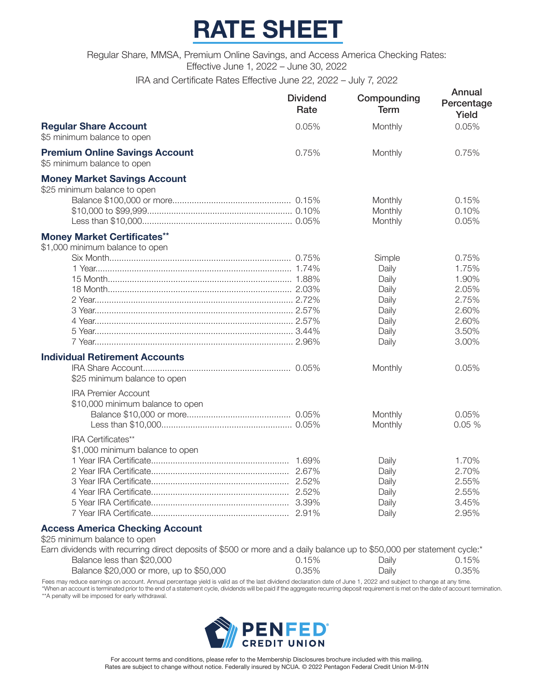# **RATE SHEET**

Regular Share, MMSA, Premium Online Savings, and Access America Checking Rates: Effective June 1, 2022 – June 30, 2022

IRA and Certificate Rates Effective June 22, 2022 – July 7, 2022

|                                                                        | <b>Dividend</b><br>Rate | Compounding<br><b>Term</b>                                                                | Annual<br>Percentage<br>Yield                                                          |
|------------------------------------------------------------------------|-------------------------|-------------------------------------------------------------------------------------------|----------------------------------------------------------------------------------------|
| <b>Regular Share Account</b><br>\$5 minimum balance to open            | 0.05%                   | Monthly                                                                                   | 0.05%                                                                                  |
| <b>Premium Online Savings Account</b><br>\$5 minimum balance to open   | 0.75%                   | Monthly                                                                                   | 0.75%                                                                                  |
| <b>Money Market Savings Account</b><br>\$25 minimum balance to open    |                         | Monthly                                                                                   | 0.15%                                                                                  |
|                                                                        |                         | Monthly<br>Monthly                                                                        | 0.10%<br>0.05%                                                                         |
| <b>Money Market Certificates**</b><br>\$1,000 minimum balance to open  |                         |                                                                                           |                                                                                        |
| <b>Individual Retirement Accounts</b><br>\$25 minimum balance to open  |                         | Simple<br>Daily<br>Daily<br>Daily<br>Daily<br>Daily<br>Daily<br>Daily<br>Daily<br>Monthly | 0.75%<br>1.75%<br>1.90%<br>2.05%<br>2.75%<br>2.60%<br>2.60%<br>3.50%<br>3.00%<br>0.05% |
| <b>IRA Premier Account</b><br>\$10,000 minimum balance to open         |                         | Monthly<br>Monthly                                                                        | 0.05%<br>0.05%                                                                         |
| IRA Certificates**<br>\$1,000 minimum balance to open                  |                         | Daily<br>Daily<br>Daily<br>Daily<br>Daily<br>Daily                                        | 1.70%<br>2.70%<br>2.55%<br>2.55%<br>3.45%<br>2.95%                                     |
| <b>Access America Checking Account</b><br>\$25 minimum balance to open |                         |                                                                                           |                                                                                        |

| Earn dividends with recurring direct deposits of \$500 or more and a daily balance up to \$50,000 per statement cycle:* |       |       |       |
|-------------------------------------------------------------------------------------------------------------------------|-------|-------|-------|
| Balance less than \$20,000                                                                                              | 0.15% | Daily | 0.15% |
| Balance \$20,000 or more, up to \$50,000                                                                                | 0.35% | Daily | 0.35% |

Fees may reduce earnings on account. Annual percentage yield is valid as of the last dividend declaration date of June 1, 2022 and subject to change at any time. \*When an account is terminated prior to the end of a statement cycle, dividends will be paid if the aggregate recurring deposit requirement is met on the date of account termination. \*\*A penalty will be imposed for early withdrawal.